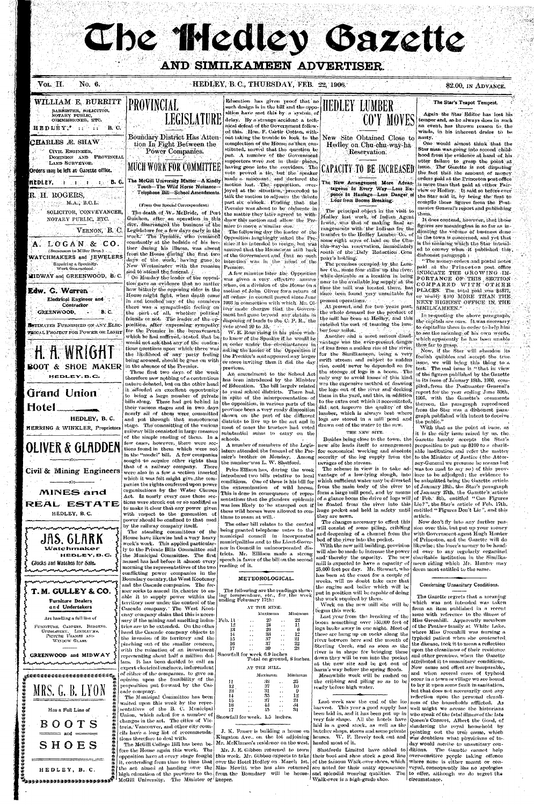# **The Illedley Gazette**

### AND SIMILKAMEEN ADVERTISER

#### Vol. II. No. 6.

#### HEDLEY, B.C., THURSDAY, FEB. 22, 1906.

#### \$2.00, IN ADVANCE.

#### WILLIAM E. BURRITT BARRISTER, SOLICITOR,

NOTARY PUBLIC, COMMISSIONER, ETC.

HEDLEY, ... .. B.C.

#### CHARLES Æ. SHAW

 $\mathcal{A}$ CIVIL ENGINEER. DOMINION AND PROVINCIAL 34 LAND SURVEYOR.

Orders may be left at Gazette office.

#### HEDLEY, : : : : : : : : B.G.

R. H. ROGERS,  $\mathbb{P}^{\text{max}}_{\text{max}}$  ,  $\mathbf{M}(\mathbf{A}_i)$  ,  $\mathbf{B}, \mathbf{C}, \mathbf{L}$  ,

> SOLICITOR, CONVEYANCER, NOTARY PUBLIC, ETC.

> > Vernon, B. C.

i (Christop



**Edw. G. Warren** Electrical Engineer and Contractor

**GREENWOOD. B.C.** 12.AU

**NETIMATES FURNISHED ON ANY ELEC-**TRICAL PROJECT FOR POWER OR LIGHT



Hotel HEDLEY, B.C.

HERRING & WINKLER, Proprietors

**PROVINCIAL** 

**Boundary District Has Atten**tion In Fight Between the Power Companies.

# MUCH WORK FOR COMMITTEE

The McGill University Matter-A Kindly Touch-The Wild Horse Nuisance-Telephone Bill-School Amendments.

(From Our Special Correspondent)

The death of W. McBride, of Port Guichon, after an operation in this city. disarranged the business of the Legislature for a few days early in the week. The Premier, who remained constantly at the bedside of his brother during his illness, was absent from the House during the first two of the Government and that no such days of the week, having gone to New Westminster with the remains

and to attend the functal.  $\ell$ On Monday the leader of the opposition gave an evidence that no matter how bitterly the opposing sides in the House might fight, when death came in and touched any of the members there was a sympathetic feeling on friends or not. The leader of the opposition, after expressing sympathy. for the Premier in the bereavement.

would not ask that any of the contenbeing aroused, should be gone on with in the absence of the Premier.

These first two days of the week therefore saw nothing of a contentious nature debated, but on the other hand it alforded an excellent opportunity to bring a large number of private bills along. These had got behind in their various stages and in two days nearly all of them were committed and put through that monotonous stage. The committing of the various railway bills consisted in large measure of the simple reading of them. In a

Education has given proof that no such design is in the bill and the opposition have met this by a system of delay. By a strange accident a technical defeat of the Government followed this. Hon, F. Cartir Cotton, without taking the trouble to look to the New Site Obtained Close to complection of the House, as then constituted, moved that the question be put. A munber of the Government

supporters were not in their places. having gone into the corridors. The vote proved a tig, but the speaker made a miscount, and declared the motion lost. The opposition, overjoyed at the situation, proceeded to talk the motion to adjourn the debate

nast six o'clock. Finding that the Premier was about to be obdurate in the matter they later agreed to withdraw this motion and allow the Pre mier to move a similar one.

The following day the leader of the Opposition laughingly asked the Premier if he intended to resign, but was assured that the House'was still back intention was in the numerof the Premier.

A few minutes later the Opposition was given a very effective answer when, on a division of the House on a motion of John Oliver for a return of all orders in council passed since June 1903 in connection with which Mr. Oliver made charges that the Governthe part of all, whether political ment had gone beyond any statute in dispositive of lands to the C. P. R., the vote stood 20 to 13.

W. R. Ross rising in his place wishwhich he had suffered, stated that  $\log$   $|$  to know of the Speaker if he would be in order under the circumstances in tions questions upon which there was asking the leader of the Opposition if the likelihood of any party feeling the Premier's seatappeared any larger or more inviting than it did the day previous.

An amendment to the School Act has been introduced by the Minister of Education. The bill largely related to rural school districts. There had, in spite of the misrepresentation of the opposition, in various parts of the province been a very ready disposition shown on the part of the different districts to live up to the act and in most of cases the trustees had voted substantial sums to carry on the schools.



Hedley on Chu-chu-way-ha-Reservation.

# CAPACITY TO BE INCREASEI

The New Arrangement More Advantageous In Every Way-Less Expence In Haulage-Less Danger of Loss from Booms Breaking.

The principal object in the visit to Hedley last week, of Indian Agent Irwin, was that of making final arrangements with the Indians for the transfer to the Hedley Lumber Co. of some eight acres of land on the Chuchu-way-ha reservation, immediately south of the Daly Reduction Com pany's holding.

The premises occupied by the Lunber Co., some four miles up the river, while desirable as a location in being near to the available log supply at the time the mill was located there, has since been found very unsuitable for present operations.

At present, and for two years past, the whole demand for the product of the mill has been at Hedley, and this entailed the cost of teaming the lumber four unles.

Another and a most serious disadvantage was the ever-present danger of loss from a sudden rise of the river, for the Similkameen, being a very swift stream and subject to sudden rise, could never be depended on for the storage of logs in a boom. The only way to avoid losses of this kind was the expensive method of drawing the logs out of the river and decking them in the yard, and this, in addition to the extra cost which it necessitated, did not improve the quality of the lumber, which is always best where logs are stored in a mill pond and drawn out of the water to the saw.

THE NEW SITE.

#### The Star's Teapot Tempest.

Again the Star Editor has lost his temper and, as he always does in such an event, has thrown reason to the winds, in his inherent desire to be | nastv.

One would almost think that the Star man was going into second childhood from the evidence at hand of his utter failure to grasp the point at issue. The Gazette is not disputing the fact that the amount of money orders paid at the Princeton post office is more than that paid at either Fairview or Hedley. It said so before ever the Star said it, by being the first to compile those figures from the Postmaster General's report and publishing them,

1t does contend, however, that those figures are meaningless in so far as indicating the volume of business done in the town is concerned, and yet that is the meaning which the Star intended to convey when it published this. dishonest paragraph:

"The money orders and postal notes paid at the Princeton post office INDICATE THE GROWING IM-PORTANCE OF THIS SECTION COMPARED WITH OTHER PLACES. The total paid was \$4877, or nearly \$400 MORE THAN THE NEXT HIGHEST OFFICE IN THE SIMILKAMEEN."

In re-quoting the above paragraph, the capitals are ours. It was necessary, to capitalize them in order to help him to see the meaning of his own words, which apparently he has been unable thus far to grasp.

Now, if the Star will abandon its foolish quibbles and accept the true. issue, we will bring this thing to a test. The real issue is "that in view of the figures published by the Gazette in its issue of January 18th, 1906, compiled, from the Postmaster General's report for the year ending June 30th, 1905, with the Gazette's comments thereon, the paragraph reproduced from the Star was a dishonest paragraph published with intent to deceive the public."

With that as the point at issue, as it is the only issue raised by us, the Besides being close to the town, the Gazette hereby accepts the Star's A number of members of the Legis- new site lends itself to arrangement proposition to put up \$100 to a charitfor economical working and absolute able institution and refer the matter security of the log supply from the to the Minister of Justice (the Attorney-General we presume he means but The scheme in view is to take ad- was too mad to say so) of this provvantage of a low-lying slough, into ince to be adjudged; the evidence to which sufficient water may be diverted be submitted being the Gazette article from the main body of the river to of January 13th, the Star's paragraph form a large mill pond, and by means of January 27th, the Gazette's article of a glance boom the drive of logs will of Feb. 8th, entitled "Can Figures" be floated from the river into this Lie?", the Star's article of Feb. 17th. huge pocket and held in safety until entitled "Figures Don't Lie", and this article, Now don't fly into any further passion over this, but put up your money with Government agent Hugh Hunter of Princeton, and the Gazette will do likewise; the loser's money to be handwill also be made to increase the power | ed over to any regularly organized and thereby the capacity. The new charitable institution in the Similkamill is expected to have a capacity of neen riding which Mr. Hunter may

**OLIVER & GLADDEN** tions found in them which were not few cases, however, there were sec-Civil & Mining Engineers **MINES** and REAL ESTATE HEDLEY, B.C. **JAS. GLARK Watchmaker** HEDLEY.B.C. Glocks and Watches for Sale. mmmmmmmmmmmmmmm

# T.M. GULLEY & CO.

#### **Furniture Dealers** and Undertakers

Are handling a full line of

FURNITURE, CARPETS, BEDDING, UPHOLSTERY, LINOLEUMS, PICTURE FRAMES AND WINDOW GLASS.

#### GREENWOOD and MIDWAY

Mentantantantantantantan

<sub>₺</sub>Ŕ₽₽₽₽₽₽₽₽₽₽₽₽₽₽₽₽₽₽₽₽₽₽₽₽₽₽₽

MRS. G. B. LYON

Has a Full Line of



HEDLEY, B. C.

u<br><sup>U</sup>rberendaderektroner

in the "model" bill. A few companies sought to acquire other rights than that of a railway company. There were also in a few a section inserted which it was felt might give the com panies the rights conferred upon power organizations by the Water Clauses Act. In nearly every case these sections were struck out or so modified as to make it clear that any power given with respect to the generation of power should be confined to that used by the railway company itself.

The standing committees of the House have likewise had a very heavy week's work. This applied particularly to the Private Bills Committee and the Municipal Committee. The first named has had before it almost every morning the representatives of the two conflicting power companies in the Boundary country, the West Kootenay and the Cascade companies. The former seeks to amend its charter to enable it to supply power within the territory now under the control of the Cascade company. The West Kootenay company claim that this is neces-Feb. sary if the mining and smelting industries are to be extended. On the other hand the Cascade company objects to the invasion of its territory and the pinching out of the smaller concern, with the ruination of an investment representing about half a million dollars. It has been decided to call an expert electrical engineer, independent of either of the companies, to give an opinion upon the feasibility of the

proposition put forward by the Cascade company. The Municipal Committee has been

waited upon this week by the representatives of the B. C. Municipal Union, which asked for a number of changes in the act. The cities of Victoria, Vancouver, and other city councils have a long list of recommendations therefore to deal with.

fore the House again this week. The pposition have at every stage fought this week. Mr. Gibbon expects to take  $\vert$ high education of the province to the from the Boundary will be house-McGill University. The Minister of keeper.

lature attended the funeral of the Premier's brother on Monday. Among the number was L. W. Shatford.

Price Ellison has, during the week introduced two bills relative to local conditions. One of these is his bill for the extermination of wild horses. This is done in consequence of representations that the glanders epidemic was less likely to be stamped out if these wild horses were allowed to continue to roam at will.

The other bill relates to the control being granted telephone rates to the municipal council in incorporated municipalities and to the Lieut-Governor in Council in unincorporated districts. Mr. Elliison made a strong speech in favor of the bill on the second reading of it.

### METEOROLOGICAL.

The following are the readings show ing temperature, etc., for the wee ending February 17th:

AT THE MINE.

| ٠                            | Maximum |     | Minimum |
|------------------------------|---------|-----|---------|
| $\mathrm{Feb.}\,11$          | 29      |     | 22      |
| 12                           | 21      |     | 11      |
| 13                           | 26      |     | 6       |
| И                            | 33      | . . | 12      |
| 15                           | 37      | . . | 21      |
| 16                           | 37      |     | 22      |
| 17                           | 39      |     | 23      |
| Snowfall for week 6.9 inches |         |     |         |

Total on ground, 8 inches.

#### AT THE MILL.

|                               |     | Maximum | Minimum |  |
|-------------------------------|-----|---------|---------|--|
| П                             |     | 33      | 25      |  |
| 12                            |     | 37      | 10      |  |
| 13                            |     | 31      |         |  |
| 14                            |     | 35      | 12      |  |
| 15                            |     | 37      | 21      |  |
| 16                            | . . | 43      | .34     |  |
| 17                            |     | 45.     | 31      |  |
| Snowfall for week,1.5—inches. |     |         |         |  |

J. K. Fraser is building a house on Kingston Ave., on the lot adjoining The McGill College Bill has been be- Mr. McKinnon's residence on the west.

Mr. J. E. Gibbon returned to town

ravages of the stream.

they are sawn.

The changes necessary to effect this will consist of some piling, cribbing and deepening of a channel from the bed of the river into the pocket.

With the new mill building, provision 25,000 feet per day. Mr. Stewart, who deem most entitled to the same.

has been at the coast for a couple of weeks, will no doubt take care that the engine and boiler which will be put in position will be capable of doing the work required by them.

Work on the new mill site will be begun this week.

Last year from the breaking of the boom something over 150,000 feet of logs broke away in one night. Most of these are hung up on rocks along the river between here and the mouth of Sterling Creek, and as soon as the river is in shape for bringing these down they will be run into the pocket at the new site and be got out of harm's way before the spring floods. Meanwhile work will be rushed on the cribbing and piling so as to be ready before high water.

Last week saw the end of the ice harvest. This year a good supply has been laid in, and it has been put up in very fair shape. All the hotels have laid in a good stock, as well as the butcher shops, stores and some private houses. W. F. Revely took out and hauled most of it.

their boot and shoe stock a good line it, contending from time to time that over the Hotel Hedley on March 1st. of the famous Walk-over shoes, which the act aimed at handing over the Miss Hewitt who has also returned are noted for their natty appearance and splendid wearing qualities. The

Walk-over is a high-grade shoe.

#### Concerning Unsanitary Conditions.

The Gazette regrets that a meaning which was not intended was taken from an item published in a recent issue with reference to the illness of Miss Greenhill. Apparently members of the Prather family at White Lake, where Miss Greenhill was nursing a typhoid patient when she contracted. the disease, took it to mean a reflection upon the cleanliness of their residence and other premises, when the Gazette attributed it to unsanitary conditions. Now cause and effect are inseparable, and when several cases of typhoid occur in a town or village we are bound to lay it upon some fault in sanitation, but that does not necessarily cast any reflection upon the personal cleanliness of the households afflicted. As well might we accuse the historians who speak of the fatal illness of the late Queen's Consort, Albert the Good, of slandering the royal household by pointing out the true cause, which was doubtless what physicians of today would ascribe to unsanitary con-Shatfords Limited have added to ditions. The Gazette cannot help over-sensitive people taking offence where none is either meant or conveyed, consequently lias no apologies to offer, although we do regret the

circumstance.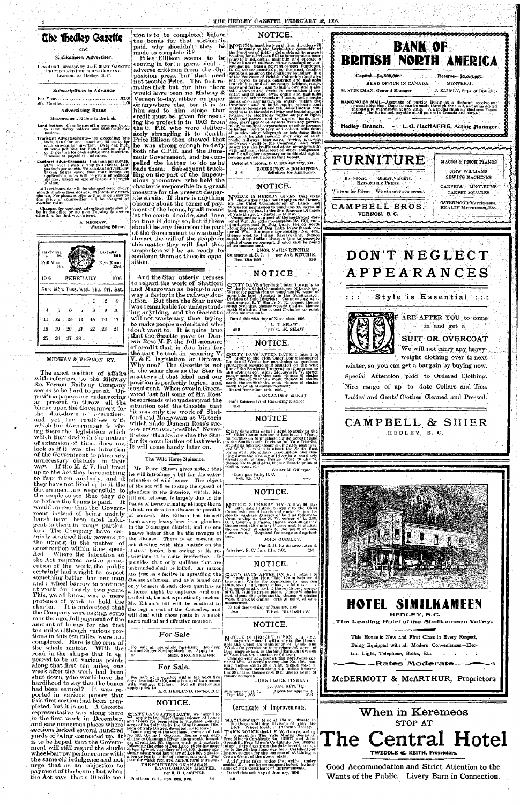

Usui (I :m Thursdays; by the HKDI.KV GAZETTE **'1'lUNTISO A.Vi) I'L'RI.ISIIIN'K COMPANY,**  LIMITED, at Hedley, B. C.

•' and *'* •' ' -

#### Similkameen Advertiser.

#### Subscriptions in Advance

l J tr Yea:' .fci.00 Six Mouths.. . 1.00

#### Advertising Rates

#### Measurement. 12 linos to the inch.

Contract Advertisements—One inch per month, \$1.25; over 1 inch and up to 4 inches, \$1,00<br>per inch per month. To constant advertisers taking larger space than four inches, on<br>application, rutes will be given of reduced<br>charges, based on size of space and length<br>of t

Advertisements will be changed once every<br>mouth if advertiser desires, without any extra<br>charge. For changes oftener than once a month<br>the price of composition will be charged at<br>regular rates.

Land Notices—Certificates of improvementcte., \$-7.00 for fiO-day notices, and \$5.00 for 30-day notices.

Transient Advertisements—not exceeding one inch,  $$1.00$  for one insertion,  $25$  cents for exact subsequent insertion. Over one inch,  $10$  cents per line for first insertion and  $5$  cents per line for each subsequent inse

First quar.<br>ist ' « 1st.

should be any desire on the part subdite be any desire on the part of j thwart the will of the people in this matter they will find that  $\epsilon$  supporters will be as ready to | condemn them as those in oppo- $\left| \text{conformal } \right. \text{[Sum\"{4}th 1905]}\left| \text{Sum\"{4}th 1905} \right| \times \left| \text{Irr} \right| \text{[Cum\"{5}th 1905]}\left| \text{Irr} \right| \text{[Cum`{5}th 1905]}\left| \text{[Cum`{5}th 1905]}\right| \times \left| \text{Irr} \right| \text{[Cum`{5}th 1905]}\left| \text{[Cum`{5}th 1905]}\right| \times \left| \text{Irr} \right| \text{[Cum`{5}th 1905]$ 

Changes for-contract advertisements should be in the office by noon on Tuesday to secure -attention for;that week's issue.

A MEORAW, **Managing Editor.** 

Last ouur. lath.

tion is to be completed before<br>the bonus for that section is the bonus for that section is paid, why shouldn't they be made to complete it?

Price Elllison seems to be coming in for a great deal of adverse criticism from the Opposition press, but that need not trouble Price. The fact remains that but for him there would have been no Midway & Vernon to-day, either on paper or anywhere else, for it is to him and to him alone that credit'must be given for rescuing the project in in 1902 from the G. P.R. who were deliberately strangling it to death. Price Ellison then showed that he was strong enough to defy both the C.P.R. and the Dunsmuir Government, and he compelled the latter to do as he pelled the latter to do as he<br>bade them. Subsequent truckling on the part of the impecunious' promoters who held the charter is responsible in a great measure for the present desperate straits. If there is anything obscure about the terms of payposeure about the terms of pay-<br>ment of the bonus, by all means let the courts decide, and lose ho time in doing so; but if there

**NOTICE.** 

**NOTICE** is hereby given that application will the Province of Brigislative Assembly of its present section, for a Private Bill to incorporate a computer is present image to build, equip, maintain and operate a line or th

Dated at Victoria, B. C. 17th January, 1906. ROBERTSON & ROBERTSON<br>• Solicitors for Applicants.

consistent. When over in Greenwood last fall some of Mr. Boss' wood last fall some of Mr. Ross'<br>best friends who understand the situation told the Gazette that ' '"'it was only the work of Shatford and Macgowan at Victoria • which niade Lhmcan Boss's suc- ; cess a-tOttawa. possible." Never- [ uss authorwith possible. Thever-<br>[ theless thanks are due the Star<sup>]</sup>

STXTY DAYS after date I intend to apply to<br>the Hon, Chief Commissioner of Lands and<br>Works for permission to purehase 160 heres of<br>mountain land situated in the Similkaneen<br>Division of Yale District: Commencing at a<br>post ma

Full Moon New Moon 3th; 23rd. 1906 FEBRUARY 1000  $\delta$ m: Mon. Tues. Wed. Thu. Fri. Sat 2  $-3$ ,. 1  $\cdot$  **0** 9  $\overline{7}$ S  $10$ -5 **15**  10 17 li .12 **13**  14 .19 **20**  is **09**  23 2-1 26 **27**  28 :

#### MIDWAY & VERNON RY.

'• THOS. NAIRN RITCHIE Dec. 13th 1905  $\frac{1}{2}$  50-9

ALEXANDER McKAY Similkameen Land Recording District

**3-6** 

NOTICE IS HEREBY GIVEN that sixty<br>days after date I will apply to the Homo-<br>ble the Chief. Commissioner of Lands and<br>Works for permission to purchase 320 acress of<br>land, more or less, in the Similkancen Division<br>of Yale Di

### **NOTICE.**

# **NOTIC E**

Dated this 28th day of November. 1905 'L. T. SHAW 50-9 ' per C.*-At.* SHAW

**NOTICE.** 

**SEXTY DAYS AFTER DATE, I intend to** apply to the Hon. Chief, Commissioner of Lands and Works for permission to purchase 240 acres of pasture land situated on the west line of the Ponticion Reservation: Commencing at a pos

CAMPBELL & SHIER HEDLEY, B. C.

514)

**NOTICE** 

The exact position of affairs with reference to the Midway &c. Vernon Railway Company. seems to be hard to get at.  $Op$ position papers are endeavoring at present to throw all the blame upon the Government for the shut-down of operations, and yet the readiness with which the Government is giving them the legislation which which they desire in the matter. of extension of time, does not look as if it was the intention of the Government to place any unnecessary obstacle in their way. If the M.  $\&$  V. had lived harsh have been most indulsomething better than one man<br>and a wheel-barrow to continue amount of bonus for the first ten miles although various por-<br>tions in this ten miles were not tions in this ten miles, were not<br>completed. Here is the crux of completed. Here is the crux of<br>the whole matter. With the the whole matter. With the road in the shape that it appeared to be at various points along that first ten miles, one week after the work had been shut down, who would have the bondinand to hard hood to say that the bonus<br>hed been examed ? It was had been earned? It was reported in various papers that this first section had been completed, but it is not. A Gazette pleted, but it is not.  $\left[ \text{A}\text{Gazette}\right]$ *representative* was along there in the first week in December, and saw numerous places where ment will still regard the single wheel-barrow performance wjtb the same old indulgence and not urge that as an objection to payment of the bonus; but when

And the Star utterly refuses<br>to regard the work of Shatford to regard the work of Shatford and Macgowan as being-in any way a factor in the railway situation. But then the Star never was remarkable for understanding anything, and the Gazette will not waste any time trying 'to make people understand' who don't want to. It is quite true that the Gazette gave to Duncan Boss M. P. the full measure of credit that is due him for the part he took in securing  $V$ .  $\alpha$  is the matrix  $\alpha$  is the matrix  $\alpha$ . V. & E. legislation at Ottawa. Why not? The Gazette is not in the same class as the Star in matters of that kind and our maveers of that kind and our<br>position is perfectly logical and



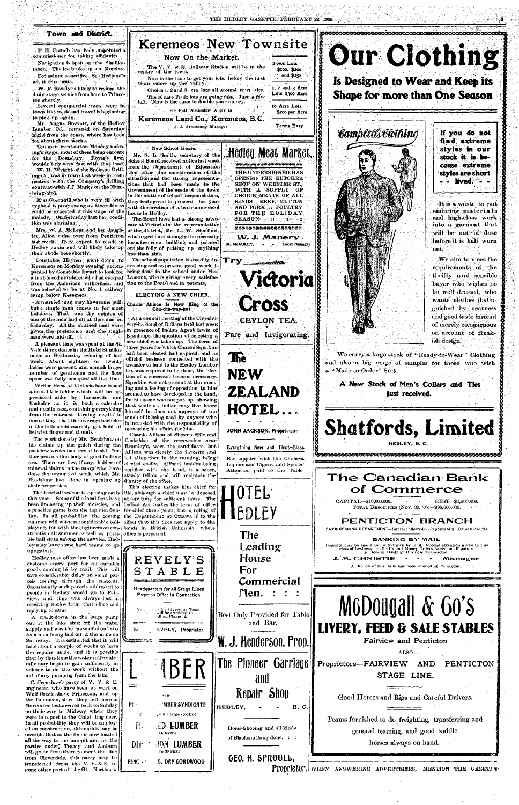#### **Town and District.**

F. H. French has been appointed a commissioner for taking affidavits. Navigation is open on the Similka-

meen. The ice broke up on Monday. For sale at a sacrifice. See Hedlund's

ad. in this issue.

W. F. Revely is likely to resume the daily stage service from here to Princeton shortly.

Several commercial 'men were in town last week'and travel is beginning to pick up again.

Mr. Angus Stewart, of the Hedley Lumber Co., returned on Saturday night from the coast, where has been for about three weeks.

Ten men went outon Monday morning's stage, most of them being enronte for the Boundary. Royer's flyer wouldn't fly very fast with that load.

W. H. Wright of the Spokane Drilling Co, was in town last week-in connection with the Company's drilling contract with J.J. Marks on the Humming-bird.

Miss Greenhill .who is very ill with typhoid is progressing as favorably as could be expected at this stage of the malady. On Saturday last her condition was alarming.

Mrs. W. A. McLean and her daughter, Alice, came over from Penticton last week. They expect to reside in for a two room building and pointed Hedley again and will likely take up out the folly of putting up anything their abode here shortly.

Constable Haynes went down to Keremeos on Monday evening accompanied by Constable Ewart to look for a half-breed murderer who had escaped from the American authorities, and tion to the Board and to parents, was believed to be at No. 1 railway camp below Keremeos.

A married man may have some pull, but a single man comes in for most holidays. That was the opinion of one of the men laid off at the mine on Saturday. All the married men' were given the preference and the single men were, laid off. '

A pleasant time was spent at the St. Valentine's dance in the Hotel Similkameen on Wednesday evening of last week. About eighteen or twenty ladies were present, and a much larger number of gentlemen and the floor space was fully occupied all the time.

Weiler Bros, of Victoria have issued a neat little folder which will be appreciated alike by housewife and bachelor as it is both a calendar and needle-case, containing everything from the coarsest darning needle to one so tiny that the average bachelor in the hills could scarcely get hold of betwixt finger and thumb.

his claims up the gulch during the past few weeks has served to still further prove a fine body of good-lookingore. • There are few, if any, holders of mineral claims in the camp who have done the amount of work which Mr. Bradshaw has done in opening up their properties'.

The baseball season is opening early this year. Some of the local fans have been limbering up their muscles, and a practice game is on the tapis for Sunday. In all probability the coming summer will witness considerable ballplaying, for with the engineers on construction all summer as well as possible ball stars among the navvies, Hedley may have some hard teams to go up against.

Hedley post office has been made a customs entry port for all dutiable goods coming in by mail. This will save considerable delay on small parcels coming through the customs. Occasionally such parcels addressed to people in Hedley would go to Fairview, and time was always lost in receiving notice from that office and replying to same.

A break-down in the large pump out at the lake shut off the watersupply and was the cause of about sixteen men being laid off at the mine on Saturday. It is estimated that it will take about a couple of weeks to have the repairs made, and it is possible that by that time the water in Twentymile may begin to gain sufficiently in volume to do the work without the aid of any pumping from the lake.

C. Crenshaw's party of  $V$ . V. & E. engineers who have been at work on Wolf Creek above Princeton, and up the Tulameen, since they left here in November last, arrived back on Sunday on their way to Midway where they were to report to the Chief Engineer. In all probability they will be employed on construction, although it may be possible that as the line is now located all the way to the summit and as the parties under, Tracey and Amburn will go on from there to meet the line from Cloyerdale, this party may be transferred from the V. V. & E. to some other part of the Gt. Northern.

Pf and

 $\mathcal{H}$ 

 $\begin{array}{l} \begin{array}{c} \text{minimize} \\ \text{maximize} \end{array} \end{array}$ 

w

himself he does not approve of too much of it being used by anyone who is intrusted with the responsibility of

managing his affairs for him. Charlie Allison of Sixteen Mile

The work done by Mr. Bradshaw on Cockshise of the reservation near Bromley's, were the candidates, but Allison was clearly the favorite and led altogether in the running, being elected easily; Allison', besides being popular with the band, is a sober, steady fellow and will maintain the dignity of the office.

Bar supplied with the Choicest Liquors and Cigars, and Special Attention paid to the Table.

> TOTAL RESOURCES (NOV. 30, '05)-\$98,000,000. REST—\$4,300,000. **PENTICTON BRANCH** SAVINGS BANK DEPARTMENT--Interest allowed on deposits of \$1.00 and upwards. **BANKING BY MAIL** Deposits may be made and withdrawn by mail. Special attention given to this class *%t* business. :: Drafts and Money Orders issued on all' points. A Genem] Banking: Business Transacted. J.M. CHRISTIE - - - Manager A Branch of this Bank has been Opened at Princeton. mww.Bffigva.com M6D0ugall & Go's **LIVEHY, FEED 8 SALE STABLES**





This election makes him chief for life, although a chief may be deposed at any time for sufficient cause. The Indian Act makes the term of office for chief three years, but a ruling of the Department at Ottawa is to the effect that this does not apply to the bands in British Columbia, where office is perpetual.

**If you do not find extreme styles in our stock it is because extreme styles are short - - lived. - -**

It is a waste to put enduring materials and high-class work into a garment that will be out of date before it is half worn out.

We aim to meet the requirements of the thrifty and sensible buyer who wishes to be well dressed, who wants clothes distinguished by neatness and good taste instead of merely conspicuous on account of freakish design.

We carry a large stock of "Ready-to-Wear" Clothing and also a big range of samples for those who wish

**Our Clothing** 

**« • ®** 

JOHN JACKSON, Propriet.or

**A New Stock of Men's Collars and Ties just received.** 

**Shatfords, Limited** 

HEDLEY, B. C.

bannen essa sessista nannan mananan manan

The Canadian Bank<br>of Commerce

Everything New and First-Class



PENG

**TO liO FEET** 

S, DRY G0RDW00D

**Fairview and Penticton** 

 $-ALSO-$ 

**Proprietors—FAIRVIEW AND STAGE LINE. PENTICTON** 

GEO. fl. SPR0ULE,

Good Horses and Rigs and Careful Drivers.

Teams furnished to do freighting, transferring and general teaming, and good saddle horses always on hand.

. Proprietor. When answering advertisers, mention the gazett